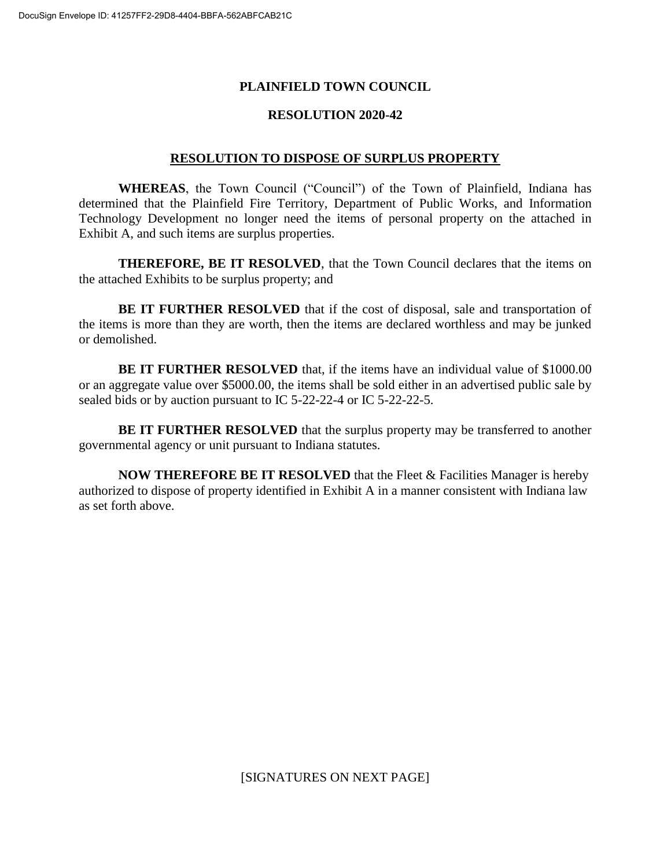## **PLAINFIELD TOWN COUNCIL**

## **RESOLUTION 2020-42**

## **RESOLUTION TO DISPOSE OF SURPLUS PROPERTY**

**WHEREAS**, the Town Council ("Council") of the Town of Plainfield, Indiana has determined that the Plainfield Fire Territory, Department of Public Works, and Information Technology Development no longer need the items of personal property on the attached in Exhibit A, and such items are surplus properties.

**THEREFORE, BE IT RESOLVED**, that the Town Council declares that the items on the attached Exhibits to be surplus property; and

**BE IT FURTHER RESOLVED** that if the cost of disposal, sale and transportation of the items is more than they are worth, then the items are declared worthless and may be junked or demolished.

**BE IT FURTHER RESOLVED** that, if the items have an individual value of \$1000.00 or an aggregate value over \$5000.00, the items shall be sold either in an advertised public sale by sealed bids or by auction pursuant to IC 5-22-22-4 or IC 5-22-22-5.

**BE IT FURTHER RESOLVED** that the surplus property may be transferred to another governmental agency or unit pursuant to Indiana statutes.

**NOW THEREFORE BE IT RESOLVED** that the Fleet & Facilities Manager is hereby authorized to dispose of property identified in Exhibit A in a manner consistent with Indiana law as set forth above.

[SIGNATURES ON NEXT PAGE]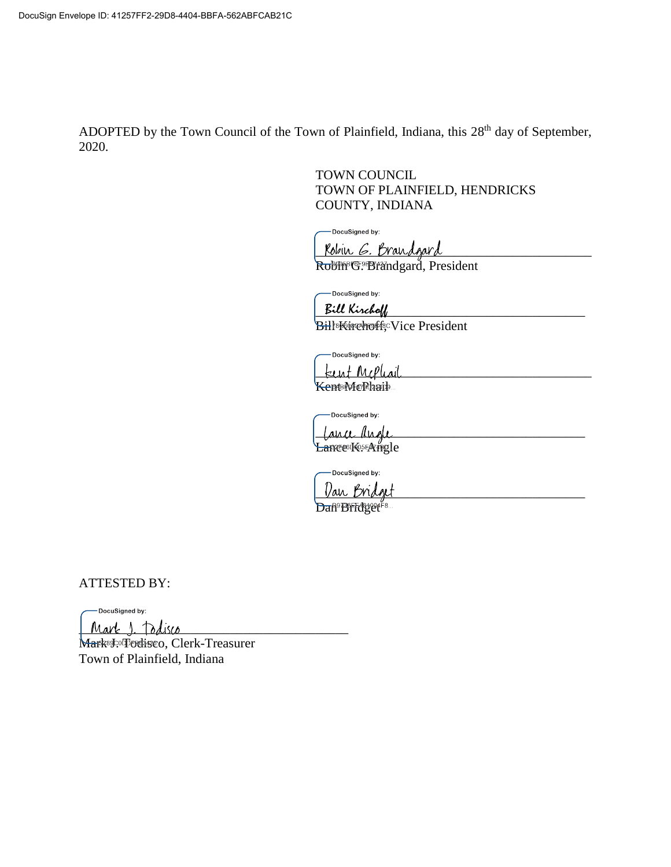ADOPTED by the Town Council of the Town of Plainfield, Indiana, this 28<sup>th</sup> day of September, 2020.

> TOWN COUNCIL TOWN OF PLAINFIELD, HENDRICKS COUNTY, INDIANA

-DocuSigned by:

<u>Kobin G. Brandgard</u>

Robin G. Brandgard, President

-DocuSigned by:

Bill Kirchoff

**Bill® Kirchoff®** Vice President

DocuSigned by:

kent McPhail Kent McPhaile

DocuSianed by:

ana ande Lance Kosea (pele

DocuSigned by:

Dan Bridget Dan<sup>9</sup>BFFdgetF8...

ATTESTED BY:

DocuSigned by:

Mark 1. Todisco

Mark<sup>egoop</sup>odisco, Clerk-Treasurer Town of Plainfield, Indiana